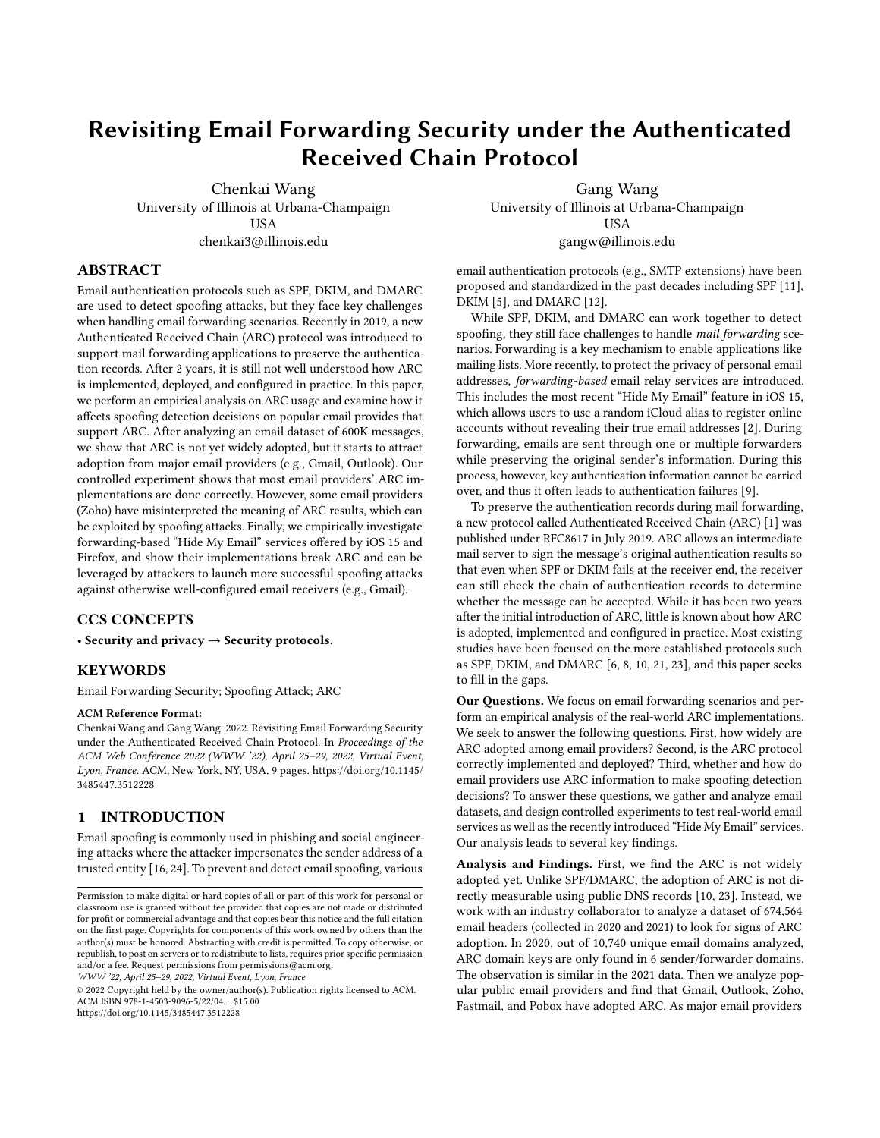# <span id="page-0-0"></span>Revisiting Email Forwarding Security under the Authenticated Received Chain Protocol

Chenkai Wang University of Illinois at Urbana-Champaign **USA** chenkai3@illinois.edu

ABSTRACT

Email authentication protocols such as SPF, DKIM, and DMARC are used to detect spoofing attacks, but they face key challenges when handling email forwarding scenarios. Recently in 2019, a new Authenticated Received Chain (ARC) protocol was introduced to support mail forwarding applications to preserve the authentication records. After 2 years, it is still not well understood how ARC is implemented, deployed, and configured in practice. In this paper, we perform an empirical analysis on ARC usage and examine how it affects spoofing detection decisions on popular email provides that support ARC. After analyzing an email dataset of 600K messages, we show that ARC is not yet widely adopted, but it starts to attract adoption from major email providers (e.g., Gmail, Outlook). Our controlled experiment shows that most email providers' ARC implementations are done correctly. However, some email providers (Zoho) have misinterpreted the meaning of ARC results, which can be exploited by spoofing attacks. Finally, we empirically investigate forwarding-based "Hide My Email" services offered by iOS 15 and Firefox, and show their implementations break ARC and can be leveraged by attackers to launch more successful spoofing attacks against otherwise well-configured email receivers (e.g., Gmail).

# CCS CONCEPTS

• Security and privacy  $\rightarrow$  Security protocols.

# **KEYWORDS**

Email Forwarding Security; Spoofing Attack; ARC

#### ACM Reference Format:

Chenkai Wang and Gang Wang. 2022. Revisiting Email Forwarding Security under the Authenticated Received Chain Protocol. In Proceedings of the ACM Web Conference 2022 (WWW '22), April 25–29, 2022, Virtual Event, Lyon, France. ACM, New York, NY, USA, [9](#page-8-0) pages. [https://doi.org/10.1145/](https://doi.org/10.1145/3485447.3512228) [3485447.3512228](https://doi.org/10.1145/3485447.3512228)

# 1 INTRODUCTION

Email spoofing is commonly used in phishing and social engineering attacks where the attacker impersonates the sender address of a trusted entity [\[16,](#page-8-1) [24\]](#page-8-2). To prevent and detect email spoofing, various

WWW '22, April 25–29, 2022, Virtual Event, Lyon, France

© 2022 Copyright held by the owner/author(s). Publication rights licensed to ACM. ACM ISBN 978-1-4503-9096-5/22/04. . . \$15.00 <https://doi.org/10.1145/3485447.3512228>

Gang Wang University of Illinois at Urbana-Champaign USA gangw@illinois.edu

email authentication protocols (e.g., SMTP extensions) have been proposed and standardized in the past decades including SPF [\[11\]](#page-8-3), DKIM [\[5\]](#page-8-4), and DMARC [\[12\]](#page-8-5).

While SPF, DKIM, and DMARC can work together to detect spoofing, they still face challenges to handle mail forwarding scenarios. Forwarding is a key mechanism to enable applications like mailing lists. More recently, to protect the privacy of personal email addresses, forwarding-based email relay services are introduced. This includes the most recent "Hide My Email" feature in iOS 15, which allows users to use a random iCloud alias to register online accounts without revealing their true email addresses [\[2\]](#page-8-6). During forwarding, emails are sent through one or multiple forwarders while preserving the original sender's information. During this process, however, key authentication information cannot be carried over, and thus it often leads to authentication failures [\[9\]](#page-8-7).

To preserve the authentication records during mail forwarding, a new protocol called Authenticated Received Chain (ARC) [\[1\]](#page-8-8) was published under RFC8617 in July 2019. ARC allows an intermediate mail server to sign the message's original authentication results so that even when SPF or DKIM fails at the receiver end, the receiver can still check the chain of authentication records to determine whether the message can be accepted. While it has been two years after the initial introduction of ARC, little is known about how ARC is adopted, implemented and configured in practice. Most existing studies have been focused on the more established protocols such as SPF, DKIM, and DMARC [\[6,](#page-8-9) [8,](#page-8-10) [10,](#page-8-11) [21,](#page-8-12) [23\]](#page-8-13), and this paper seeks to fill in the gaps.

Our Questions. We focus on email forwarding scenarios and perform an empirical analysis of the real-world ARC implementations. We seek to answer the following questions. First, how widely are ARC adopted among email providers? Second, is the ARC protocol correctly implemented and deployed? Third, whether and how do email providers use ARC information to make spoofing detection decisions? To answer these questions, we gather and analyze email datasets, and design controlled experiments to test real-world email services as well as the recently introduced "Hide My Email" services. Our analysis leads to several key findings.

Analysis and Findings. First, we find the ARC is not widely adopted yet. Unlike SPF/DMARC, the adoption of ARC is not directly measurable using public DNS records [\[10,](#page-8-11) [23\]](#page-8-13). Instead, we work with an industry collaborator to analyze a dataset of 674,564 email headers (collected in 2020 and 2021) to look for signs of ARC adoption. In 2020, out of 10,740 unique email domains analyzed, ARC domain keys are only found in 6 sender/forwarder domains. The observation is similar in the 2021 data. Then we analyze popular public email providers and find that Gmail, Outlook, Zoho, Fastmail, and Pobox have adopted ARC. As major email providers

Permission to make digital or hard copies of all or part of this work for personal or classroom use is granted without fee provided that copies are not made or distributed for profit or commercial advantage and that copies bear this notice and the full citation on the first page. Copyrights for components of this work owned by others than the author(s) must be honored. Abstracting with credit is permitted. To copy otherwise, or republish, to post on servers or to redistribute to lists, requires prior specific permission and/or a fee. Request permissions from permissions@acm.org.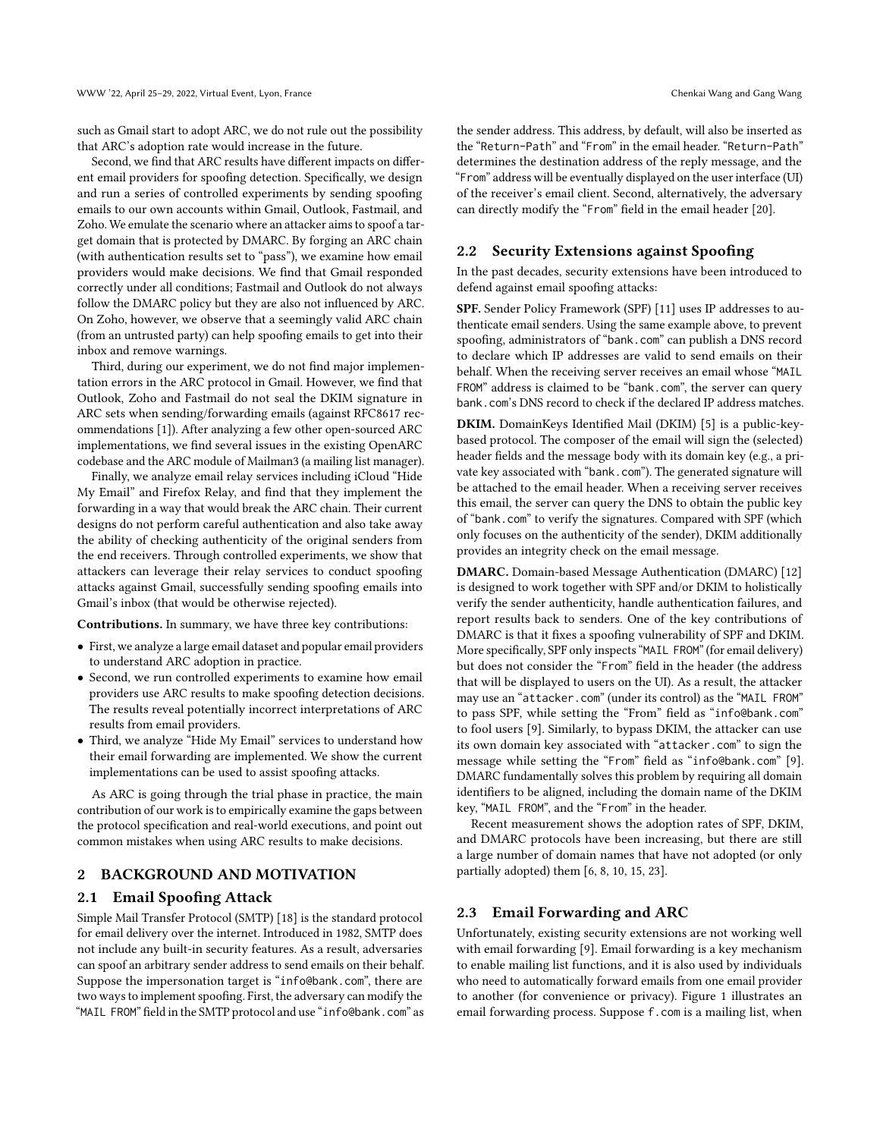such as Gmail start to adopt ARC, we do not rule out the possibility that ARC's adoption rate would increase in the future.

Second, we find that ARC results have different impacts on different email providers for spoofing detection. Specifically, we design and run a series of controlled experiments by sending spoofing emails to our own accounts within Gmail, Outlook, Fastmail, and Zoho. We emulate the scenario where an attacker aims to spoof a target domain that is protected by DMARC. By forging an ARC chain (with authentication results set to "pass"), we examine how email providers would make decisions. We find that Gmail responded correctly under all conditions; Fastmail and Outlook do not always follow the DMARC policy but they are also not influenced by ARC. On Zoho, however, we observe that a seemingly valid ARC chain (from an untrusted party) can help spoofing emails to get into their inbox and remove warnings.

Third, during our experiment, we do not find major implementation errors in the ARC protocol in Gmail. However, we find that Outlook, Zoho and Fastmail do not seal the DKIM signature in ARC sets when sending/forwarding emails (against RFC8617 recommendations [\[1\]](#page-8-8)). After analyzing a few other open-sourced ARC implementations, we find several issues in the existing OpenARC codebase and the ARC module of Mailman3 (a mailing list manager).

Finally, we analyze email relay services including iCloud "Hide My Email" and Firefox Relay, and find that they implement the forwarding in a way that would break the ARC chain. Their current designs do not perform careful authentication and also take away the ability of checking authenticity of the original senders from the end receivers. Through controlled experiments, we show that attackers can leverage their relay services to conduct spoofing attacks against Gmail, successfully sending spoofing emails into Gmail's inbox (that would be otherwise rejected).

Contributions. In summary, we have three key contributions:

- First, we analyze a large email dataset and popular email providers to understand ARC adoption in practice.
- Second, we run controlled experiments to examine how email providers use ARC results to make spoofing detection decisions. The results reveal potentially incorrect interpretations of ARC results from email providers.
- Third, we analyze "Hide My Email" services to understand how their email forwarding are implemented. We show the current implementations can be used to assist spoofing attacks.

As ARC is going through the trial phase in practice, the main contribution of our work is to empirically examine the gaps between the protocol specification and real-world executions, and point out common mistakes when using ARC results to make decisions.

# 2 BACKGROUND AND MOTIVATION

#### 2.1 Email Spoofing Attack

Simple Mail Transfer Protocol (SMTP) [\[18\]](#page-8-14) is the standard protocol for email delivery over the internet. Introduced in 1982, SMTP does not include any built-in security features. As a result, adversaries can spoof an arbitrary sender address to send emails on their behalf. Suppose the impersonation target is "info@bank.com", there are two ways to implement spoofing. First, the adversary can modify the "MAIL FROM" field in the SMTP protocol and use "info@bank.com" as

the sender address. This address, by default, will also be inserted as the "Return-Path" and "From" in the email header. "Return-Path" determines the destination address of the reply message, and the "From" address will be eventually displayed on the user interface (UI) of the receiver's email client. Second, alternatively, the adversary can directly modify the "From" field in the email header [\[20\]](#page-8-15).

#### <span id="page-1-1"></span>2.2 Security Extensions against Spoofing

In the past decades, security extensions have been introduced to defend against email spoofing attacks:

SPF. Sender Policy Framework (SPF) [\[11\]](#page-8-3) uses IP addresses to authenticate email senders. Using the same example above, to prevent spoofing, administrators of "bank.com" can publish a DNS record to declare which IP addresses are valid to send emails on their behalf. When the receiving server receives an email whose "MAIL FROM" address is claimed to be "bank.com", the server can query bank.com's DNS record to check if the declared IP address matches.

DKIM. DomainKeys Identified Mail (DKIM) [\[5\]](#page-8-4) is a public-keybased protocol. The composer of the email will sign the (selected) header fields and the message body with its domain key (e.g., a private key associated with "bank.com"). The generated signature will be attached to the email header. When a receiving server receives this email, the server can query the DNS to obtain the public key of "bank.com" to verify the signatures. Compared with SPF (which only focuses on the authenticity of the sender), DKIM additionally provides an integrity check on the email message.

DMARC. Domain-based Message Authentication (DMARC) [\[12\]](#page-8-5) is designed to work together with SPF and/or DKIM to holistically verify the sender authenticity, handle authentication failures, and report results back to senders. One of the key contributions of DMARC is that it fixes a spoofing vulnerability of SPF and DKIM. More specifically, SPF only inspects "MAIL FROM" (for email delivery) but does not consider the "From" field in the header (the address that will be displayed to users on the UI). As a result, the attacker may use an "attacker.com" (under its control) as the "MAIL FROM" to pass SPF, while setting the "From" field as "info@bank.com" to fool users [\[9\]](#page-8-7). Similarly, to bypass DKIM, the attacker can use its own domain key associated with "attacker.com" to sign the message while setting the "From" field as "info@bank.com" [\[9\]](#page-8-7). DMARC fundamentally solves this problem by requiring all domain identifiers to be aligned, including the domain name of the DKIM key, "MAIL FROM", and the "From" in the header.

Recent measurement shows the adoption rates of SPF, DKIM, and DMARC protocols have been increasing, but there are still a large number of domain names that have not adopted (or only partially adopted) them [\[6,](#page-8-9) [8,](#page-8-10) [10,](#page-8-11) [15,](#page-8-16) [23\]](#page-8-13).

#### <span id="page-1-0"></span>2.3 Email Forwarding and ARC

Unfortunately, existing security extensions are not working well with email forwarding [\[9\]](#page-8-7). Email forwarding is a key mechanism to enable mailing list functions, and it is also used by individuals who need to automatically forward emails from one email provider to another (for convenience or privacy). Figure [1](#page-2-0) illustrates an email forwarding process. Suppose f.com is a mailing list, when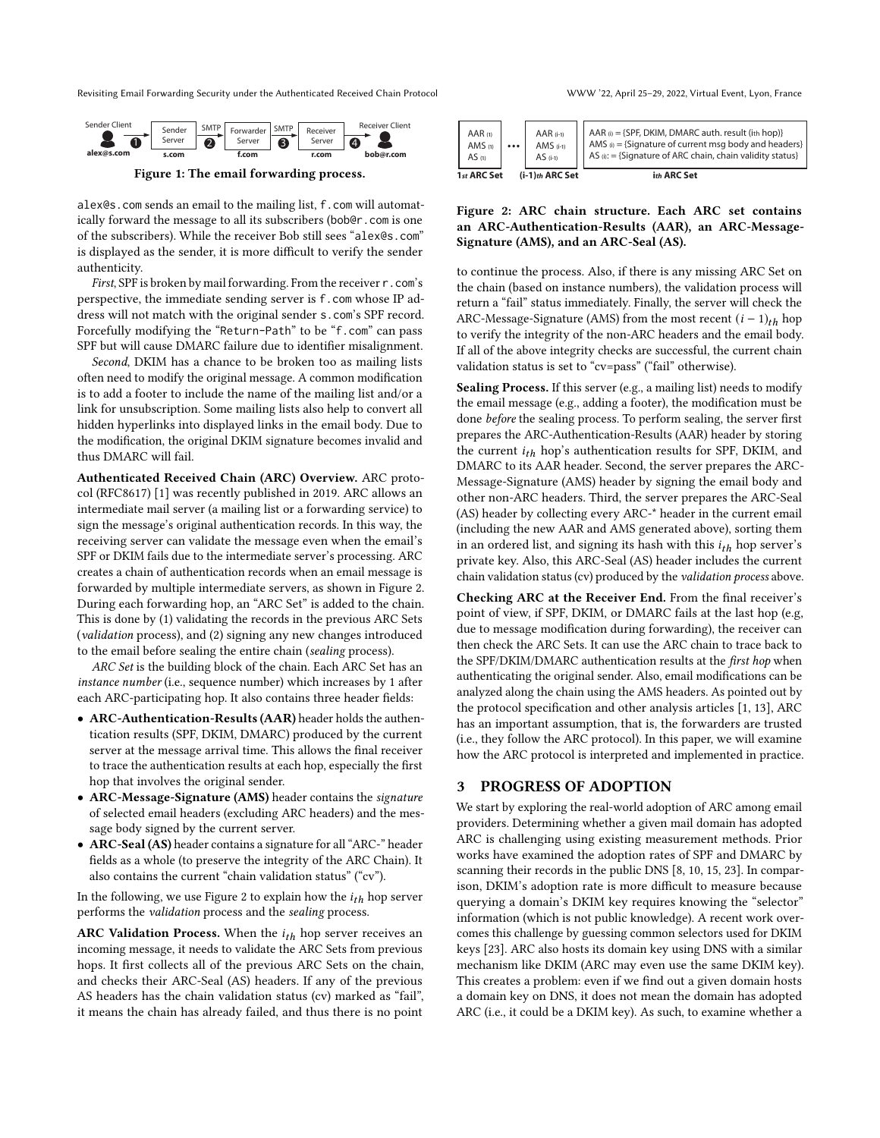Revisiting Email Forwarding Security under the Authenticated Received Chain Protocol WWW '22, April 25–29, 2022, Virtual Event, Lyon, France

<span id="page-2-0"></span>

Figure 1: The email forwarding process.

alex@s.com sends an email to the mailing list, f.com will automatically forward the message to all its subscribers (bob@r.com is one of the subscribers). While the receiver Bob still sees "alex@s.com" is displayed as the sender, it is more difficult to verify the sender authenticity.

First, SPF is broken by mail forwarding. From the receiver r.com's perspective, the immediate sending server is f.com whose IP address will not match with the original sender s.com's SPF record. Forcefully modifying the "Return-Path" to be "f.com" can pass SPF but will cause DMARC failure due to identifier misalignment.

Second, DKIM has a chance to be broken too as mailing lists often need to modify the original message. A common modification is to add a footer to include the name of the mailing list and/or a link for unsubscription. Some mailing lists also help to convert all hidden hyperlinks into displayed links in the email body. Due to the modification, the original DKIM signature becomes invalid and thus DMARC will fail.

Authenticated Received Chain (ARC) Overview. ARC protocol (RFC8617) [\[1\]](#page-8-8) was recently published in 2019. ARC allows an intermediate mail server (a mailing list or a forwarding service) to sign the message's original authentication records. In this way, the receiving server can validate the message even when the email's SPF or DKIM fails due to the intermediate server's processing. ARC creates a chain of authentication records when an email message is forwarded by multiple intermediate servers, as shown in Figure [2.](#page-2-1) During each forwarding hop, an "ARC Set" is added to the chain. This is done by (1) validating the records in the previous ARC Sets (validation process), and (2) signing any new changes introduced to the email before sealing the entire chain (sealing process).

ARC Set is the building block of the chain. Each ARC Set has an instance number (i.e., sequence number) which increases by 1 after each ARC-participating hop. It also contains three header fields:

- ARC-Authentication-Results (AAR) header holds the authentication results (SPF, DKIM, DMARC) produced by the current server at the message arrival time. This allows the final receiver to trace the authentication results at each hop, especially the first hop that involves the original sender.
- ARC-Message-Signature (AMS) header contains the signature of selected email headers (excluding ARC headers) and the message body signed by the current server.
- ARC-Seal (AS) header contains a signature for all "ARC-" header fields as a whole (to preserve the integrity of the ARC Chain). It also contains the current "chain validation status" ("cv").

In the following, we use Figure [2](#page-2-1) to explain how the  $i_{th}$  hop server performs the validation process and the sealing process.

ARC Validation Process. When the  $i_{th}$  hop server receives an incoming message, it needs to validate the ARC Sets from previous hops. It first collects all of the previous ARC Sets on the chain, and checks their ARC-Seal (AS) headers. If any of the previous AS headers has the chain validation status (cv) marked as "fail", it means the chain has already failed, and thus there is no point

<span id="page-2-1"></span>

| AMS $(1)$<br>AMS $(i-1)$<br><br>AS <sub>(1)</sub><br>$AS$ (i-1) | 1st ARC Set | $(i-1)$ th ARC Set | ith ARC Set                                                                                                                                                                                                                                                                                 |
|-----------------------------------------------------------------|-------------|--------------------|---------------------------------------------------------------------------------------------------------------------------------------------------------------------------------------------------------------------------------------------------------------------------------------------|
|                                                                 | AAR(1)      | $AAR$ (i-1)        | $\left\{\begin{array}{l}\n\text{AAR } \omega = \{\text{SPF, DKIM, DMARC } \text{auth. result (in hop)}\} \\ \text{AMS } \omega = \{\text{Signature of current msg body and headers}\} \\ \text{AS } \omega := \{\text{Signature of ARC chain, chain validity status}\}\n\end{array}\right.$ |

#### Figure 2: ARC chain structure. Each ARC set contains an ARC-Authentication-Results (AAR), an ARC-Message-Signature (AMS), and an ARC-Seal (AS).

to continue the process. Also, if there is any missing ARC Set on the chain (based on instance numbers), the validation process will return a "fail" status immediately. Finally, the server will check the ARC-Message-Signature (AMS) from the most recent  $(i - 1)<sub>th</sub>$  hop to verify the integrity of the non-ARC headers and the email body. If all of the above integrity checks are successful, the current chain validation status is set to "cv=pass" ("fail" otherwise).

Sealing Process. If this server (e.g., a mailing list) needs to modify the email message (e.g., adding a footer), the modification must be done before the sealing process. To perform sealing, the server first prepares the ARC-Authentication-Results (AAR) header by storing the current  $i_{th}$  hop's authentication results for SPF, DKIM, and DMARC to its AAR header. Second, the server prepares the ARC-Message-Signature (AMS) header by signing the email body and other non-ARC headers. Third, the server prepares the ARC-Seal (AS) header by collecting every ARC-\* header in the current email (including the new AAR and AMS generated above), sorting them in an ordered list, and signing its hash with this  $i_{th}$  hop server's private key. Also, this ARC-Seal (AS) header includes the current chain validation status (cv) produced by the validation process above.

Checking ARC at the Receiver End. From the final receiver's point of view, if SPF, DKIM, or DMARC fails at the last hop (e.g, due to message modification during forwarding), the receiver can then check the ARC Sets. It can use the ARC chain to trace back to the SPF/DKIM/DMARC authentication results at the first hop when authenticating the original sender. Also, email modifications can be analyzed along the chain using the AMS headers. As pointed out by the protocol specification and other analysis articles [\[1,](#page-8-8) [13\]](#page-8-17), ARC has an important assumption, that is, the forwarders are trusted (i.e., they follow the ARC protocol). In this paper, we will examine how the ARC protocol is interpreted and implemented in practice.

# 3 PROGRESS OF ADOPTION

We start by exploring the real-world adoption of ARC among email providers. Determining whether a given mail domain has adopted ARC is challenging using existing measurement methods. Prior works have examined the adoption rates of SPF and DMARC by scanning their records in the public DNS [\[8,](#page-8-10) [10,](#page-8-11) [15,](#page-8-16) [23\]](#page-8-13). In comparison, DKIM's adoption rate is more difficult to measure because querying a domain's DKIM key requires knowing the "selector" information (which is not public knowledge). A recent work overcomes this challenge by guessing common selectors used for DKIM keys [\[23\]](#page-8-13). ARC also hosts its domain key using DNS with a similar mechanism like DKIM (ARC may even use the same DKIM key). This creates a problem: even if we find out a given domain hosts a domain key on DNS, it does not mean the domain has adopted ARC (i.e., it could be a DKIM key). As such, to examine whether a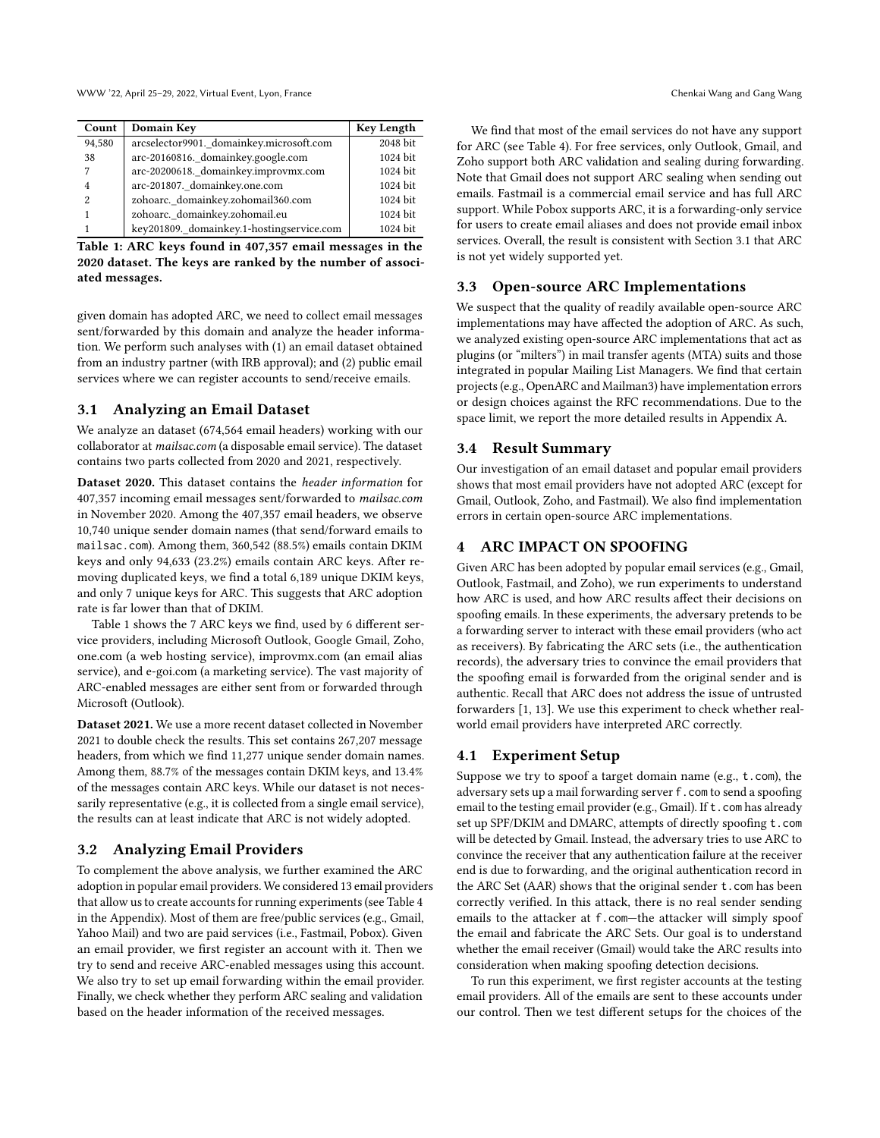WWW '22, April 25-29, 2022, Virtual Event, Lyon, France Chenkai Wang and Gang Wang Chenkai Wang and Gang Wang Chenkai Wang A

<span id="page-3-0"></span>

| Count  | Domain Key                                | <b>Key Length</b> |
|--------|-------------------------------------------|-------------------|
| 94,580 | arcselector9901. domainkey.microsoft.com  | 2048 bit          |
| 38     | arc-20160816. domainkey.google.com        | 1024 bit          |
| 7      | arc-20200618. domainkey.improvmx.com      | $1024$ bit        |
| 4      | arc-201807. domainkey.one.com             | 1024 bit          |
| 2      | zohoarc. domainkey.zohomail360.com        | 1024 bit          |
|        | zohoarc. domainkey.zohomail.eu            | 1024 bit          |
|        | key201809._domainkey.1-hostingservice.com | 1024 bit          |

Table 1: ARC keys found in 407,357 email messages in the 2020 dataset. The keys are ranked by the number of associated messages.

given domain has adopted ARC, we need to collect email messages sent/forwarded by this domain and analyze the header information. We perform such analyses with (1) an email dataset obtained from an industry partner (with IRB approval); and (2) public email services where we can register accounts to send/receive emails.

# <span id="page-3-1"></span>3.1 Analyzing an Email Dataset

We analyze an dataset (674,564 email headers) working with our collaborator at mailsac.com (a disposable email service). The dataset contains two parts collected from 2020 and 2021, respectively.

Dataset 2020. This dataset contains the header information for 407,357 incoming email messages sent/forwarded to mailsac.com in November 2020. Among the 407,357 email headers, we observe 10,740 unique sender domain names (that send/forward emails to mailsac.com). Among them, 360,542 (88.5%) emails contain DKIM keys and only 94,633 (23.2%) emails contain ARC keys. After removing duplicated keys, we find a total 6,189 unique DKIM keys, and only 7 unique keys for ARC. This suggests that ARC adoption rate is far lower than that of DKIM.

Table [1](#page-3-0) shows the 7 ARC keys we find, used by 6 different service providers, including Microsoft Outlook, Google Gmail, Zoho, one.com (a web hosting service), improvmx.com (an email alias service), and e-goi.com (a marketing service). The vast majority of ARC-enabled messages are either sent from or forwarded through Microsoft (Outlook).

Dataset 2021. We use a more recent dataset collected in November 2021 to double check the results. This set contains 267,207 message headers, from which we find 11,277 unique sender domain names. Among them, 88.7% of the messages contain DKIM keys, and 13.4% of the messages contain ARC keys. While our dataset is not necessarily representative (e.g., it is collected from a single email service), the results can at least indicate that ARC is not widely adopted.

# 3.2 Analyzing Email Providers

To complement the above analysis, we further examined the ARC adoption in popular email providers. We considered 13 email providers that allow us to create accounts for running experiments (see Table [4](#page-8-18) in the Appendix). Most of them are free/public services (e.g., Gmail, Yahoo Mail) and two are paid services (i.e., Fastmail, Pobox). Given an email provider, we first register an account with it. Then we try to send and receive ARC-enabled messages using this account. We also try to set up email forwarding within the email provider. Finally, we check whether they perform ARC sealing and validation based on the header information of the received messages.

We find that most of the email services do not have any support for ARC (see Table [4\)](#page-8-18). For free services, only Outlook, Gmail, and Zoho support both ARC validation and sealing during forwarding. Note that Gmail does not support ARC sealing when sending out emails. Fastmail is a commercial email service and has full ARC support. While Pobox supports ARC, it is a forwarding-only service for users to create email aliases and does not provide email inbox services. Overall, the result is consistent with Section [3.1](#page-3-1) that ARC is not yet widely supported yet.

# 3.3 Open-source ARC Implementations

We suspect that the quality of readily available open-source ARC implementations may have affected the adoption of ARC. As such, we analyzed existing open-source ARC implementations that act as plugins (or "milters") in mail transfer agents (MTA) suits and those integrated in popular Mailing List Managers. We find that certain projects (e.g., OpenARC and Mailman3) have implementation errors or design choices against the RFC recommendations. Due to the space limit, we report the more detailed results in Appendix [A.](#page-8-19)

# 3.4 Result Summary

Our investigation of an email dataset and popular email providers shows that most email providers have not adopted ARC (except for Gmail, Outlook, Zoho, and Fastmail). We also find implementation errors in certain open-source ARC implementations.

# <span id="page-3-3"></span>4 ARC IMPACT ON SPOOFING

Given ARC has been adopted by popular email services (e.g., Gmail, Outlook, Fastmail, and Zoho), we run experiments to understand how ARC is used, and how ARC results affect their decisions on spoofing emails. In these experiments, the adversary pretends to be a forwarding server to interact with these email providers (who act as receivers). By fabricating the ARC sets (i.e., the authentication records), the adversary tries to convince the email providers that the spoofing email is forwarded from the original sender and is authentic. Recall that ARC does not address the issue of untrusted forwarders [\[1,](#page-8-8) [13\]](#page-8-17). We use this experiment to check whether realworld email providers have interpreted ARC correctly.

# <span id="page-3-2"></span>4.1 Experiment Setup

Suppose we try to spoof a target domain name (e.g., t.com), the adversary sets up a mail forwarding server f.com to send a spoofing email to the testing email provider (e.g., Gmail). If t. com has already set up SPF/DKIM and DMARC, attempts of directly spoofing t.com will be detected by Gmail. Instead, the adversary tries to use ARC to convince the receiver that any authentication failure at the receiver end is due to forwarding, and the original authentication record in the ARC Set (AAR) shows that the original sender t.com has been correctly verified. In this attack, there is no real sender sending emails to the attacker at f.com—the attacker will simply spoof the email and fabricate the ARC Sets. Our goal is to understand whether the email receiver (Gmail) would take the ARC results into consideration when making spoofing detection decisions.

To run this experiment, we first register accounts at the testing email providers. All of the emails are sent to these accounts under our control. Then we test different setups for the choices of the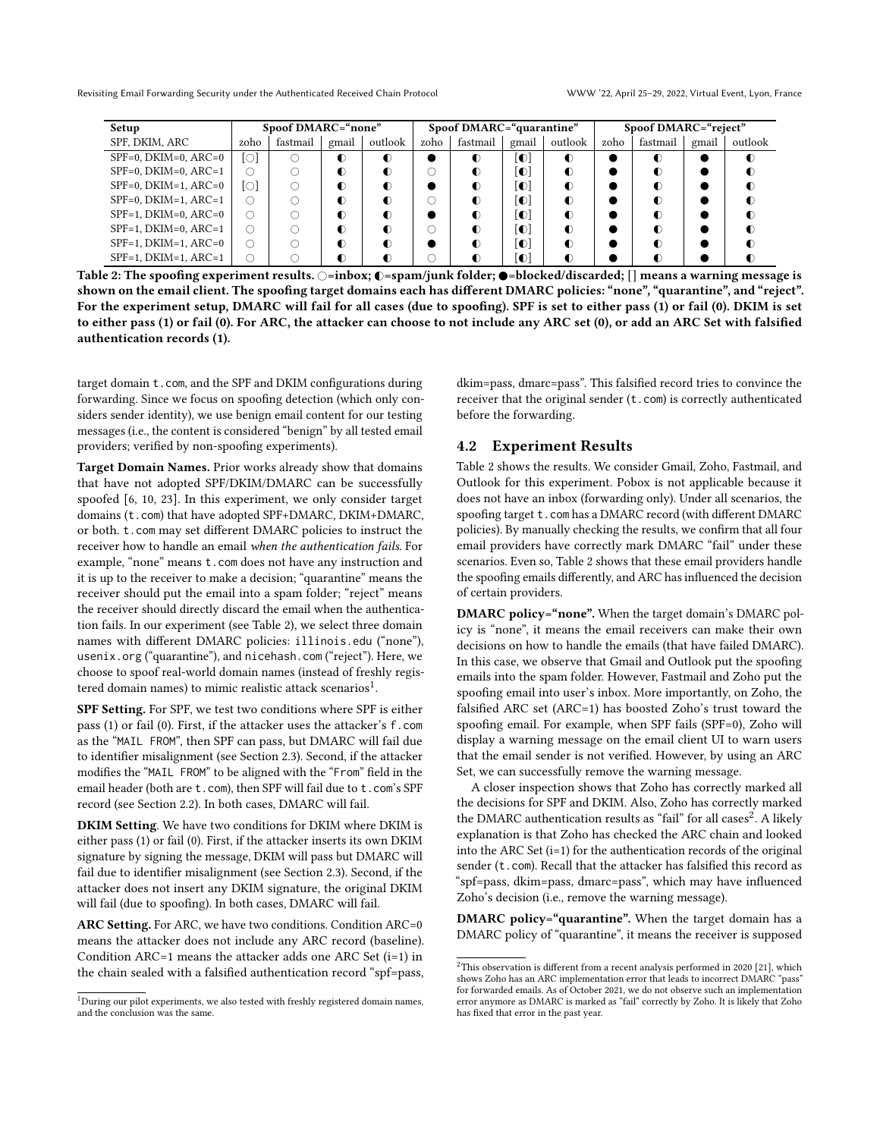<span id="page-4-0"></span>Revisiting Email Forwarding Security under the Authenticated Received Chain Protocol WWW '22, April 25–29, 2022, Virtual Event, Lyon, France

| Setup                   | Spoof DMARC="none" |          |           |         | Spoof DMARC="quarantine" |           |           |           | Spoof DMARC="reject" |           |       |           |
|-------------------------|--------------------|----------|-----------|---------|--------------------------|-----------|-----------|-----------|----------------------|-----------|-------|-----------|
| SPF, DKIM, ARC          | zoho               | fastmail | gmail     | outlook | zoho                     | fastmail  | gmail     | outlook   | zoho                 | fastmail  | gmail | outlook   |
| $SPF=0$ , DKIM=0, ARC=0 | ſО                 |          | $\bullet$ | ◐       |                          | $\bullet$ | $\bullet$ | $\bullet$ |                      | $\bullet$ |       | $\bullet$ |
| $SPF=0$ , DKIM=0, ARC=1 | O                  |          | $\bullet$ | ∩       |                          |           | O         | $\bullet$ |                      | ∩         |       | $\bullet$ |
| $SPF=0$ , DKIM=1, ARC=0 | ſОl                |          | $\bullet$ | ◐       |                          | ∩         | D.        | $\bullet$ |                      | ◐         |       | $\bullet$ |
| $SPF=0$ , DKIM=1, ARC=1 | ∩                  |          | $\bullet$ | ∩       | ()                       |           | O         | $\bullet$ |                      | ∩         |       | $\bullet$ |
| $SPF=1$ , DKIM=0, ARC=0 | ∩                  |          | $\bullet$ | ∩       |                          | ∩         | D.        | $\bullet$ |                      | ∩         |       | $\bullet$ |
| $SPF=1$ , DKIM=0, ARC=1 | Ο                  |          | $\bullet$ | ◐       |                          |           | O         | $\bullet$ |                      | ◐         |       | $\bullet$ |
| $SPF=1$ , DKIM=1, ARC=0 | Ο                  |          | $\bullet$ | ∩       |                          |           | O         | $\bullet$ |                      | ∩         |       | $\bullet$ |
| $SPF=1$ , DKIM=1, ARC=1 | Ο                  |          | ◐         | ∩       |                          |           | O         | $\bullet$ |                      | ∩         |       | $\bullet$ |

Table 2: The spoofing experiment results.  $\bigcirc$ =inbox;  $\bigcirc$ =spam/junk folder;  $\bigcirc$ =blocked/discarded; [] means a warning message is shown on the email client. The spoofing target domains each has different DMARC policies: "none", "quarantine", and "reject". For the experiment setup, DMARC will fail for all cases (due to spoofing). SPF is set to either pass (1) or fail (0). DKIM is set to either pass (1) or fail (0). For ARC, the attacker can choose to not include any ARC set (0), or add an ARC Set with falsified authentication records (1).

target domain t.com, and the SPF and DKIM configurations during forwarding. Since we focus on spoofing detection (which only considers sender identity), we use benign email content for our testing messages (i.e., the content is considered "benign" by all tested email providers; verified by non-spoofing experiments).

Target Domain Names. Prior works already show that domains that have not adopted SPF/DKIM/DMARC can be successfully spoofed [\[6,](#page-8-9) [10,](#page-8-11) [23\]](#page-8-13). In this experiment, we only consider target domains (t.com) that have adopted SPF+DMARC, DKIM+DMARC, or both. t.com may set different DMARC policies to instruct the receiver how to handle an email when the authentication fails. For example, "none" means t.com does not have any instruction and it is up to the receiver to make a decision; "quarantine" means the receiver should put the email into a spam folder; "reject" means the receiver should directly discard the email when the authentication fails. In our experiment (see Table [2\)](#page-4-0), we select three domain names with different DMARC policies: illinois.edu ("none"), usenix.org ("quarantine"), and nicehash.com ("reject"). Here, we choose to spoof real-world domain names (instead of freshly registered domain names) to mimic realistic attack scenarios $^1$  $^1$ .

SPF Setting. For SPF, we test two conditions where SPF is either pass (1) or fail (0). First, if the attacker uses the attacker's f.com as the "MAIL FROM", then SPF can pass, but DMARC will fail due to identifier misalignment (see Section [2.3\)](#page-1-0). Second, if the attacker modifies the "MAIL FROM" to be aligned with the "From" field in the email header (both are t.com), then SPF will fail due to t.com's SPF record (see Section [2.2\)](#page-1-1). In both cases, DMARC will fail.

DKIM Setting. We have two conditions for DKIM where DKIM is either pass (1) or fail (0). First, if the attacker inserts its own DKIM signature by signing the message, DKIM will pass but DMARC will fail due to identifier misalignment (see Section [2.3\)](#page-1-0). Second, if the attacker does not insert any DKIM signature, the original DKIM will fail (due to spoofing). In both cases, DMARC will fail.

ARC Setting. For ARC, we have two conditions. Condition ARC=0 means the attacker does not include any ARC record (baseline). Condition ARC=1 means the attacker adds one ARC Set (i=1) in the chain sealed with a falsified authentication record "spf=pass,

dkim=pass, dmarc=pass". This falsified record tries to convince the receiver that the original sender (t.com) is correctly authenticated before the forwarding.

#### <span id="page-4-1"></span>4.2 Experiment Results

Table [2](#page-4-0) shows the results. We consider Gmail, Zoho, Fastmail, and Outlook for this experiment. Pobox is not applicable because it does not have an inbox (forwarding only). Under all scenarios, the spoofing target t.com has a DMARC record (with different DMARC policies). By manually checking the results, we confirm that all four email providers have correctly mark DMARC "fail" under these scenarios. Even so, Table [2](#page-4-0) shows that these email providers handle the spoofing emails differently, and ARC has influenced the decision of certain providers.

DMARC policy="none". When the target domain's DMARC policy is "none", it means the email receivers can make their own decisions on how to handle the emails (that have failed DMARC). In this case, we observe that Gmail and Outlook put the spoofing emails into the spam folder. However, Fastmail and Zoho put the spoofing email into user's inbox. More importantly, on Zoho, the falsified ARC set (ARC=1) has boosted Zoho's trust toward the spoofing email. For example, when SPF fails (SPF=0), Zoho will display a warning message on the email client UI to warn users that the email sender is not verified. However, by using an ARC Set, we can successfully remove the warning message.

A closer inspection shows that Zoho has correctly marked all the decisions for SPF and DKIM. Also, Zoho has correctly marked the DMARC authentication results as "fail" for all cases<sup>[2](#page-0-0)</sup>. A likely explanation is that Zoho has checked the ARC chain and looked into the ARC Set (i=1) for the authentication records of the original sender (t.com). Recall that the attacker has falsified this record as "spf=pass, dkim=pass, dmarc=pass", which may have influenced Zoho's decision (i.e., remove the warning message).

DMARC policy="quarantine". When the target domain has a DMARC policy of "quarantine", it means the receiver is supposed

 $^1$  During our pilot experiments, we also tested with freshly registered domain names, and the conclusion was the same.

 $2$ This observation is different from a recent analysis performed in 2020 [\[21\]](#page-8-12), which shows Zoho has an ARC implementation error that leads to incorrect DMARC "pass" for forwarded emails. As of October 2021, we do not observe such an implementation error anymore as DMARC is marked as "fail" correctly by Zoho. It is likely that Zoho has fixed that error in the past year.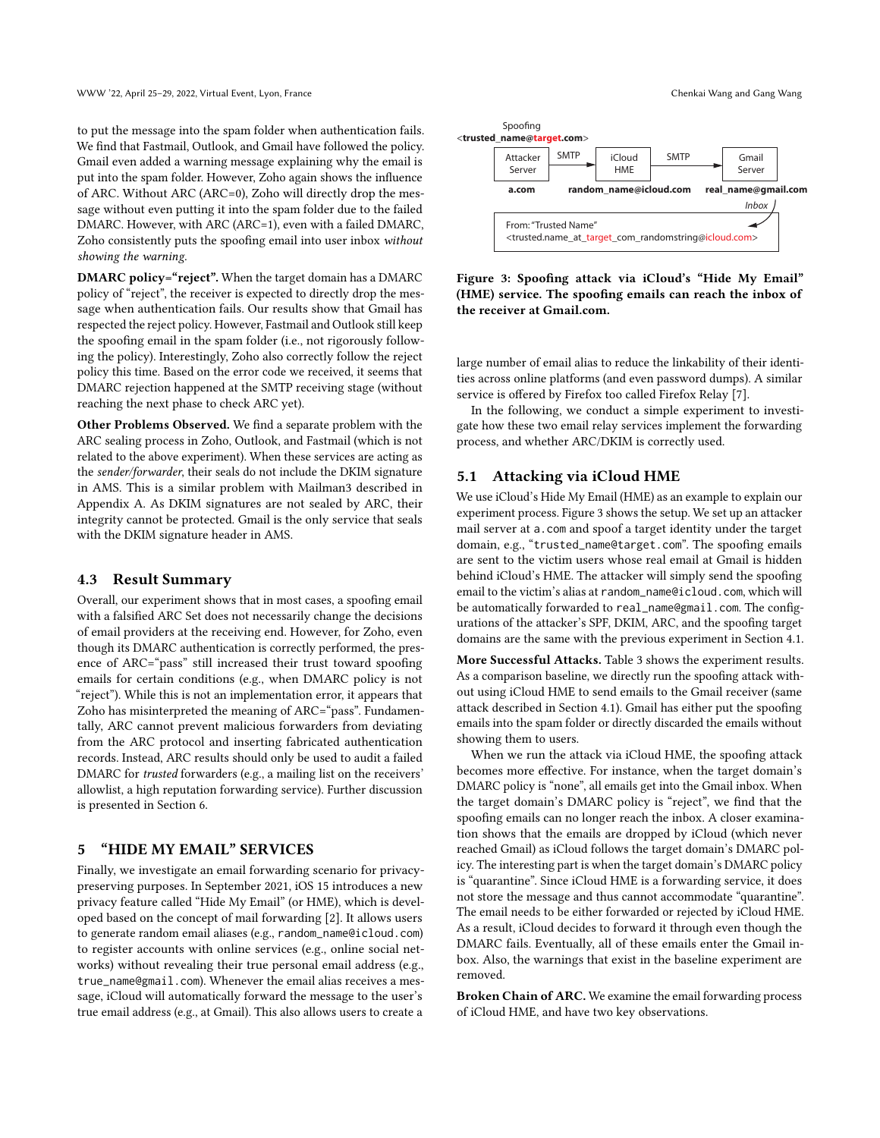to put the message into the spam folder when authentication fails. We find that Fastmail, Outlook, and Gmail have followed the policy. Gmail even added a warning message explaining why the email is put into the spam folder. However, Zoho again shows the influence of ARC. Without ARC (ARC=0), Zoho will directly drop the message without even putting it into the spam folder due to the failed DMARC. However, with ARC (ARC=1), even with a failed DMARC, Zoho consistently puts the spoofing email into user inbox without showing the warning.

DMARC policy="reject". When the target domain has a DMARC policy of "reject", the receiver is expected to directly drop the message when authentication fails. Our results show that Gmail has respected the reject policy. However, Fastmail and Outlook still keep the spoofing email in the spam folder (i.e., not rigorously following the policy). Interestingly, Zoho also correctly follow the reject policy this time. Based on the error code we received, it seems that DMARC rejection happened at the SMTP receiving stage (without reaching the next phase to check ARC yet).

Other Problems Observed. We find a separate problem with the ARC sealing process in Zoho, Outlook, and Fastmail (which is not related to the above experiment). When these services are acting as the sender/forwarder, their seals do not include the DKIM signature in AMS. This is a similar problem with Mailman3 described in Appendix [A.](#page-8-19) As DKIM signatures are not sealed by ARC, their integrity cannot be protected. Gmail is the only service that seals with the DKIM signature header in AMS.

#### 4.3 Result Summary

Overall, our experiment shows that in most cases, a spoofing email with a falsified ARC Set does not necessarily change the decisions of email providers at the receiving end. However, for Zoho, even though its DMARC authentication is correctly performed, the presence of ARC="pass" still increased their trust toward spoofing emails for certain conditions (e.g., when DMARC policy is not "reject"). While this is not an implementation error, it appears that Zoho has misinterpreted the meaning of ARC="pass". Fundamentally, ARC cannot prevent malicious forwarders from deviating from the ARC protocol and inserting fabricated authentication records. Instead, ARC results should only be used to audit a failed DMARC for trusted forwarders (e.g., a mailing list on the receivers' allowlist, a high reputation forwarding service). Further discussion is presented in Section [6.](#page-6-0)

#### <span id="page-5-1"></span>5 "HIDE MY EMAIL" SERVICES

Finally, we investigate an email forwarding scenario for privacypreserving purposes. In September 2021, iOS 15 introduces a new privacy feature called "Hide My Email" (or HME), which is developed based on the concept of mail forwarding [\[2\]](#page-8-6). It allows users to generate random email aliases (e.g., random\_name@icloud.com) to register accounts with online services (e.g., online social networks) without revealing their true personal email address (e.g., true\_name@gmail.com). Whenever the email alias receives a message, iCloud will automatically forward the message to the user's true email address (e.g., at Gmail). This also allows users to create a

<span id="page-5-0"></span>

Figure 3: Spoofing attack via iCloud's "Hide My Email" (HME) service. The spoofing emails can reach the inbox of the receiver at Gmail.com.

large number of email alias to reduce the linkability of their identities across online platforms (and even password dumps). A similar service is offered by Firefox too called Firefox Relay [\[7\]](#page-8-20).

In the following, we conduct a simple experiment to investigate how these two email relay services implement the forwarding process, and whether ARC/DKIM is correctly used.

# 5.1 Attacking via iCloud HME

We use iCloud's Hide My Email (HME) as an example to explain our experiment process. Figure [3](#page-5-0) shows the setup. We set up an attacker mail server at a.com and spoof a target identity under the target domain, e.g., "trusted\_name@target.com". The spoofing emails are sent to the victim users whose real email at Gmail is hidden behind iCloud's HME. The attacker will simply send the spoofing email to the victim's alias at random\_name@icloud.com, which will be automatically forwarded to real\_name@gmail.com. The configurations of the attacker's SPF, DKIM, ARC, and the spoofing target domains are the same with the previous experiment in Section [4.1.](#page-3-2)

More Successful Attacks. Table [3](#page-6-1) shows the experiment results. As a comparison baseline, we directly run the spoofing attack without using iCloud HME to send emails to the Gmail receiver (same attack described in Section [4.1\)](#page-3-2). Gmail has either put the spoofing emails into the spam folder or directly discarded the emails without showing them to users.

When we run the attack via iCloud HME, the spoofing attack becomes more effective. For instance, when the target domain's DMARC policy is "none", all emails get into the Gmail inbox. When the target domain's DMARC policy is "reject", we find that the spoofing emails can no longer reach the inbox. A closer examination shows that the emails are dropped by iCloud (which never reached Gmail) as iCloud follows the target domain's DMARC policy. The interesting part is when the target domain's DMARC policy is "quarantine". Since iCloud HME is a forwarding service, it does not store the message and thus cannot accommodate "quarantine". The email needs to be either forwarded or rejected by iCloud HME. As a result, iCloud decides to forward it through even though the DMARC fails. Eventually, all of these emails enter the Gmail inbox. Also, the warnings that exist in the baseline experiment are removed.

Broken Chain of ARC. We examine the email forwarding process of iCloud HME, and have two key observations.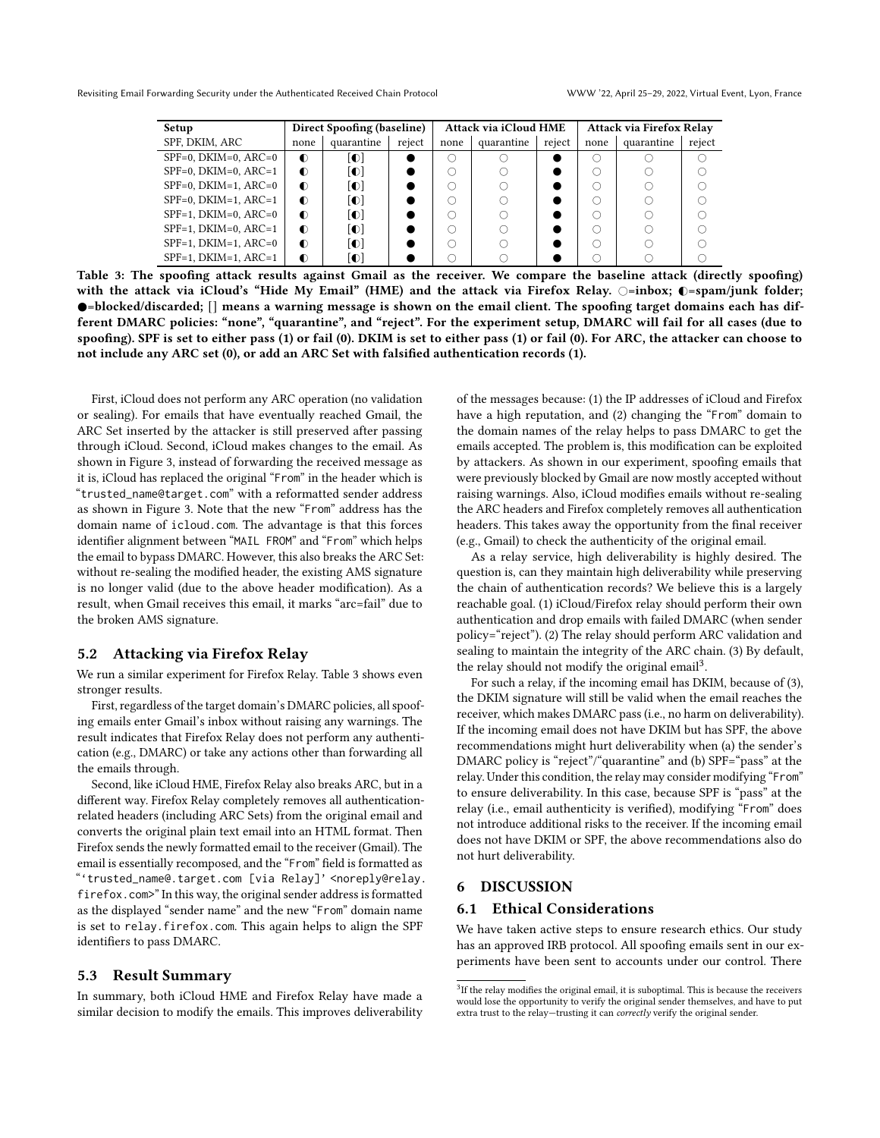<span id="page-6-1"></span>

| Setup                   | Direct Spoofing (baseline) |            |        |      | <b>Attack via iCloud HME</b> |        | Attack via Firefox Relay |            |        |  |
|-------------------------|----------------------------|------------|--------|------|------------------------------|--------|--------------------------|------------|--------|--|
| SPF, DKIM, ARC          | none                       | quarantine | reject | none | quarantine                   | reject | none                     | quarantine | reject |  |
| $SPF=0$ , DKIM=0, ARC=0 | $\bullet$                  | O          |        |      |                              |        |                          |            |        |  |
| $SPF=0$ , DKIM=0, ARC=1 | $\bullet$                  | O          |        |      |                              |        |                          |            |        |  |
| $SPF=0$ , DKIM=1, ARC=0 | $\bullet$                  | O          |        |      |                              |        |                          |            |        |  |
| $SPF=0$ , DKIM=1, ARC=1 | $\bullet$                  | O          |        |      |                              |        |                          |            |        |  |
| $SPF=1$ , DKIM=0, ARC=0 | $\bullet$                  | O          |        |      |                              |        |                          |            |        |  |
| $SPF=1$ , DKIM=0, ARC=1 | $\bullet$                  | O          |        |      |                              |        |                          |            |        |  |
| $SPF=1$ , DKIM=1, ARC=0 | $\bullet$                  | O          |        |      |                              |        |                          |            |        |  |
| $SPF=1$ , DKIM=1, ARC=1 | $\bullet$                  | O          |        |      |                              |        |                          |            |        |  |

Table 3: The spoofing attack results against Gmail as the receiver. We compare the baseline attack (directly spoofing) with the attack via iCloud's "Hide My Email" (HME) and the attack via Firefox Relay.  $\bigcirc$ =inbox;  $\bigcirc$ =spam/junk folder; =blocked/discarded; [] means a warning message is shown on the email client. The spoofing target domains each has different DMARC policies: "none", "quarantine", and "reject". For the experiment setup, DMARC will fail for all cases (due to spoofing). SPF is set to either pass (1) or fail (0). DKIM is set to either pass (1) or fail (0). For ARC, the attacker can choose to not include any ARC set (0), or add an ARC Set with falsified authentication records (1).

First, iCloud does not perform any ARC operation (no validation or sealing). For emails that have eventually reached Gmail, the ARC Set inserted by the attacker is still preserved after passing through iCloud. Second, iCloud makes changes to the email. As shown in Figure [3,](#page-5-0) instead of forwarding the received message as it is, iCloud has replaced the original "From" in the header which is "trusted\_name@target.com" with a reformatted sender address as shown in Figure [3.](#page-5-0) Note that the new "From" address has the domain name of icloud.com. The advantage is that this forces identifier alignment between "MAIL FROM" and "From" which helps the email to bypass DMARC. However, this also breaks the ARC Set: without re-sealing the modified header, the existing AMS signature is no longer valid (due to the above header modification). As a result, when Gmail receives this email, it marks "arc=fail" due to the broken AMS signature.

#### 5.2 Attacking via Firefox Relay

We run a similar experiment for Firefox Relay. Table [3](#page-6-1) shows even stronger results.

First, regardless of the target domain's DMARC policies, all spoofing emails enter Gmail's inbox without raising any warnings. The result indicates that Firefox Relay does not perform any authentication (e.g., DMARC) or take any actions other than forwarding all the emails through.

Second, like iCloud HME, Firefox Relay also breaks ARC, but in a different way. Firefox Relay completely removes all authenticationrelated headers (including ARC Sets) from the original email and converts the original plain text email into an HTML format. Then Firefox sends the newly formatted email to the receiver (Gmail). The email is essentially recomposed, and the "From" field is formatted as "'trusted\_name@.target.com [via Relay]' <noreply@relay. firefox.com>" In this way, the original sender address is formatted as the displayed "sender name" and the new "From" domain name is set to relay.firefox.com. This again helps to align the SPF identifiers to pass DMARC.

#### 5.3 Result Summary

In summary, both iCloud HME and Firefox Relay have made a similar decision to modify the emails. This improves deliverability of the messages because: (1) the IP addresses of iCloud and Firefox have a high reputation, and (2) changing the "From" domain to the domain names of the relay helps to pass DMARC to get the emails accepted. The problem is, this modification can be exploited by attackers. As shown in our experiment, spoofing emails that were previously blocked by Gmail are now mostly accepted without raising warnings. Also, iCloud modifies emails without re-sealing the ARC headers and Firefox completely removes all authentication headers. This takes away the opportunity from the final receiver (e.g., Gmail) to check the authenticity of the original email.

As a relay service, high deliverability is highly desired. The question is, can they maintain high deliverability while preserving the chain of authentication records? We believe this is a largely reachable goal. (1) iCloud/Firefox relay should perform their own authentication and drop emails with failed DMARC (when sender policy="reject"). (2) The relay should perform ARC validation and sealing to maintain the integrity of the ARC chain. (3) By default, the relay should not modify the original email<sup>[3](#page-0-0)</sup>.

For such a relay, if the incoming email has DKIM, because of (3), the DKIM signature will still be valid when the email reaches the receiver, which makes DMARC pass (i.e., no harm on deliverability). If the incoming email does not have DKIM but has SPF, the above recommendations might hurt deliverability when (a) the sender's DMARC policy is "reject"/"quarantine" and (b) SPF="pass" at the relay. Under this condition, the relay may consider modifying "From" to ensure deliverability. In this case, because SPF is "pass" at the relay (i.e., email authenticity is verified), modifying "From" does not introduce additional risks to the receiver. If the incoming email does not have DKIM or SPF, the above recommendations also do not hurt deliverability.

#### <span id="page-6-0"></span>6 DISCUSSION

#### 6.1 Ethical Considerations

We have taken active steps to ensure research ethics. Our study has an approved IRB protocol. All spoofing emails sent in our experiments have been sent to accounts under our control. There

<sup>&</sup>lt;sup>3</sup>If the relay modifies the original email, it is suboptimal. This is because the receivers would lose the opportunity to verify the original sender themselves, and have to put extra trust to the relay—trusting it can correctly verify the original sender.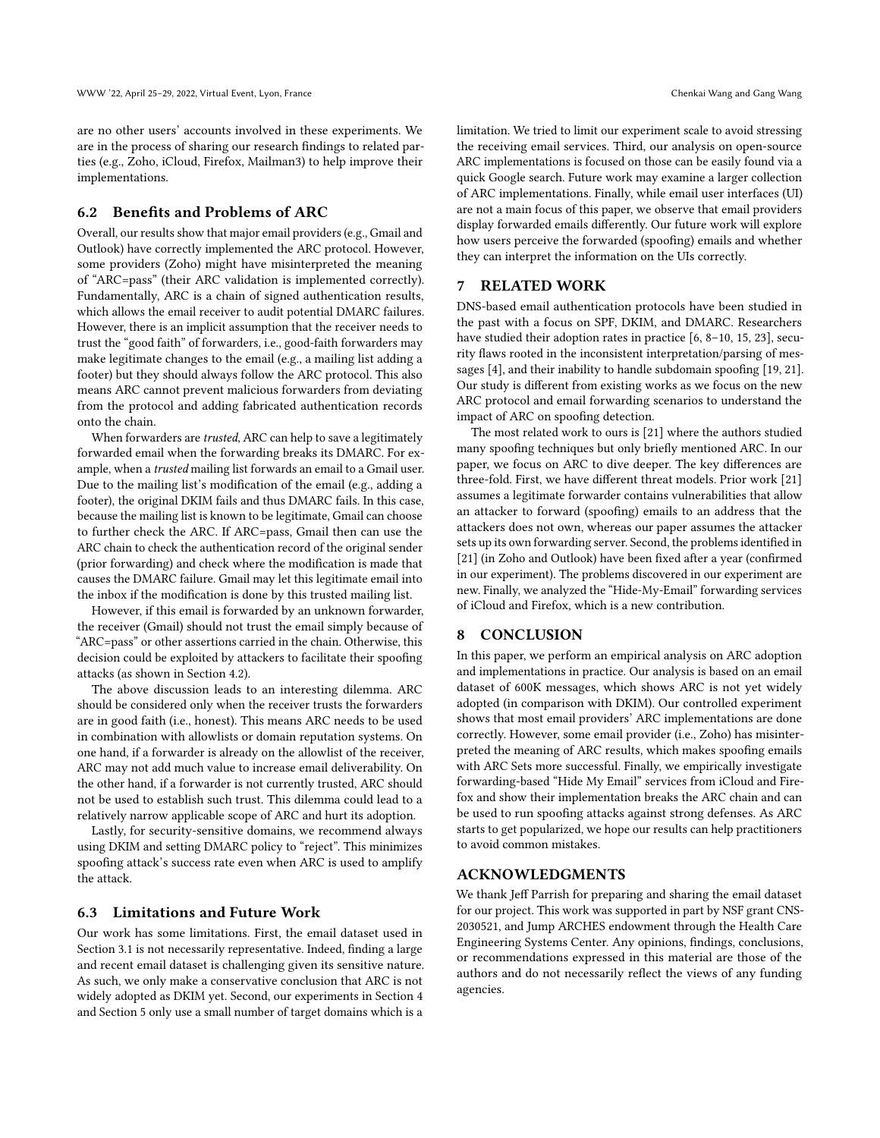are no other users' accounts involved in these experiments. We are in the process of sharing our research findings to related parties (e.g., Zoho, iCloud, Firefox, Mailman3) to help improve their implementations.

# 6.2 Benefits and Problems of ARC

Overall, our results show that major email providers (e.g., Gmail and Outlook) have correctly implemented the ARC protocol. However, some providers (Zoho) might have misinterpreted the meaning of "ARC=pass" (their ARC validation is implemented correctly). Fundamentally, ARC is a chain of signed authentication results, which allows the email receiver to audit potential DMARC failures. However, there is an implicit assumption that the receiver needs to trust the "good faith" of forwarders, i.e., good-faith forwarders may make legitimate changes to the email (e.g., a mailing list adding a footer) but they should always follow the ARC protocol. This also means ARC cannot prevent malicious forwarders from deviating from the protocol and adding fabricated authentication records onto the chain.

When forwarders are trusted, ARC can help to save a legitimately forwarded email when the forwarding breaks its DMARC. For example, when a trusted mailing list forwards an email to a Gmail user. Due to the mailing list's modification of the email (e.g., adding a footer), the original DKIM fails and thus DMARC fails. In this case, because the mailing list is known to be legitimate, Gmail can choose to further check the ARC. If ARC=pass, Gmail then can use the ARC chain to check the authentication record of the original sender (prior forwarding) and check where the modification is made that causes the DMARC failure. Gmail may let this legitimate email into the inbox if the modification is done by this trusted mailing list.

However, if this email is forwarded by an unknown forwarder, the receiver (Gmail) should not trust the email simply because of "ARC=pass" or other assertions carried in the chain. Otherwise, this decision could be exploited by attackers to facilitate their spoofing attacks (as shown in Section [4.2\)](#page-4-1).

The above discussion leads to an interesting dilemma. ARC should be considered only when the receiver trusts the forwarders are in good faith (i.e., honest). This means ARC needs to be used in combination with allowlists or domain reputation systems. On one hand, if a forwarder is already on the allowlist of the receiver, ARC may not add much value to increase email deliverability. On the other hand, if a forwarder is not currently trusted, ARC should not be used to establish such trust. This dilemma could lead to a relatively narrow applicable scope of ARC and hurt its adoption.

Lastly, for security-sensitive domains, we recommend always using DKIM and setting DMARC policy to "reject". This minimizes spoofing attack's success rate even when ARC is used to amplify the attack.

#### 6.3 Limitations and Future Work

Our work has some limitations. First, the email dataset used in Section [3.1](#page-3-1) is not necessarily representative. Indeed, finding a large and recent email dataset is challenging given its sensitive nature. As such, we only make a conservative conclusion that ARC is not widely adopted as DKIM yet. Second, our experiments in Section [4](#page-3-3) and Section [5](#page-5-1) only use a small number of target domains which is a

limitation. We tried to limit our experiment scale to avoid stressing the receiving email services. Third, our analysis on open-source ARC implementations is focused on those can be easily found via a quick Google search. Future work may examine a larger collection of ARC implementations. Finally, while email user interfaces (UI) are not a main focus of this paper, we observe that email providers display forwarded emails differently. Our future work will explore how users perceive the forwarded (spoofing) emails and whether they can interpret the information on the UIs correctly.

# 7 RELATED WORK

DNS-based email authentication protocols have been studied in the past with a focus on SPF, DKIM, and DMARC. Researchers have studied their adoption rates in practice [\[6,](#page-8-9) [8](#page-8-10)[–10,](#page-8-11) [15,](#page-8-16) [23\]](#page-8-13), security flaws rooted in the inconsistent interpretation/parsing of messages [\[4\]](#page-8-21), and their inability to handle subdomain spoofing [\[19,](#page-8-22) [21\]](#page-8-12). Our study is different from existing works as we focus on the new ARC protocol and email forwarding scenarios to understand the impact of ARC on spoofing detection.

The most related work to ours is [\[21\]](#page-8-12) where the authors studied many spoofing techniques but only briefly mentioned ARC. In our paper, we focus on ARC to dive deeper. The key differences are three-fold. First, we have different threat models. Prior work [\[21\]](#page-8-12) assumes a legitimate forwarder contains vulnerabilities that allow an attacker to forward (spoofing) emails to an address that the attackers does not own, whereas our paper assumes the attacker sets up its own forwarding server. Second, the problems identified in [\[21\]](#page-8-12) (in Zoho and Outlook) have been fixed after a year (confirmed in our experiment). The problems discovered in our experiment are new. Finally, we analyzed the "Hide-My-Email" forwarding services of iCloud and Firefox, which is a new contribution.

#### 8 CONCLUSION

In this paper, we perform an empirical analysis on ARC adoption and implementations in practice. Our analysis is based on an email dataset of 600K messages, which shows ARC is not yet widely adopted (in comparison with DKIM). Our controlled experiment shows that most email providers' ARC implementations are done correctly. However, some email provider (i.e., Zoho) has misinterpreted the meaning of ARC results, which makes spoofing emails with ARC Sets more successful. Finally, we empirically investigate forwarding-based "Hide My Email" services from iCloud and Firefox and show their implementation breaks the ARC chain and can be used to run spoofing attacks against strong defenses. As ARC starts to get popularized, we hope our results can help practitioners to avoid common mistakes.

#### ACKNOWLEDGMENTS

We thank Jeff Parrish for preparing and sharing the email dataset for our project. This work was supported in part by NSF grant CNS-2030521, and Jump ARCHES endowment through the Health Care Engineering Systems Center. Any opinions, findings, conclusions, or recommendations expressed in this material are those of the authors and do not necessarily reflect the views of any funding agencies.